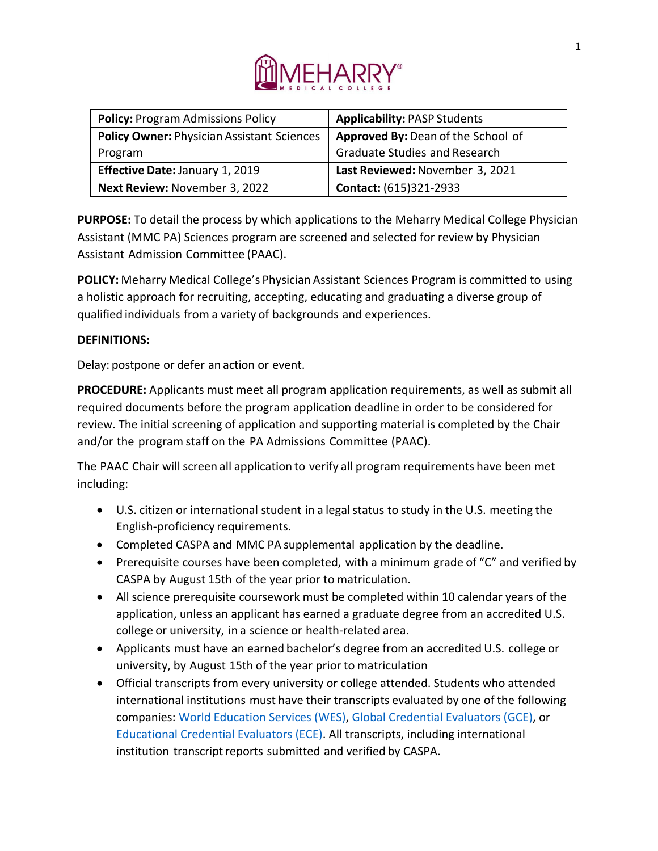

| <b>Policy: Program Admissions Policy</b>          | <b>Applicability: PASP Students</b>  |
|---------------------------------------------------|--------------------------------------|
| <b>Policy Owner: Physician Assistant Sciences</b> | Approved By: Dean of the School of   |
| Program                                           | <b>Graduate Studies and Research</b> |
| Effective Date: January 1, 2019                   | Last Reviewed: November 3, 2021      |
| Next Review: November 3, 2022                     | <b>Contact:</b> (615)321-2933        |

**PURPOSE:** To detail the process by which applications to the Meharry Medical College Physician Assistant (MMC PA) Sciences program are screened and selected for review by Physician Assistant Admission Committee (PAAC).

**POLICY:** Meharry Medical College's Physician Assistant Sciences Program is committed to using a holistic approach for recruiting, accepting, educating and graduating a diverse group of qualified individuals from a variety of backgrounds and experiences.

### **DEFINITIONS:**

Delay: postpone or defer an action or event.

**PROCEDURE:** Applicants must meet all program application requirements, as well as submit all required documents before the program application deadline in order to be considered for review. The initial screening of application and supporting material is completed by the Chair and/or the program staff on the PA Admissions Committee (PAAC).

The PAAC Chair will screen all application to verify all program requirements have been met including:

- U.S. citizen or international student in a legal status to study in the U.S. meeting the English-proficiency requirements.
- Completed CASPA and MMC PA supplemental application by the deadline.
- Prerequisite courses have been completed, with a minimum grade of "C" and verified by CASPA by August 15th of the year prior to matriculation.
- All science prerequisite coursework must be completed within 10 calendar years of the application, unless an applicant has earned a graduate degree from an accredited U.S. college or university, in a science or health-related area.
- Applicants must have an earned bachelor's degree from an accredited U.S. college or university, by August 15th of the year prior to matriculation
- Official transcripts from every university or college attended. Students who attended international institutions must have their transcripts evaluated by one of the following companies: [World Education Services \(WES\),](https://www.wes.org/) [Global Credential Evaluators \(GCE\),](https://www.gceus.com/) or [Educational Credential Evaluators \(ECE\).](https://www.ece.org/) All transcripts, including international institution transcript reports submitted and verified by CASPA.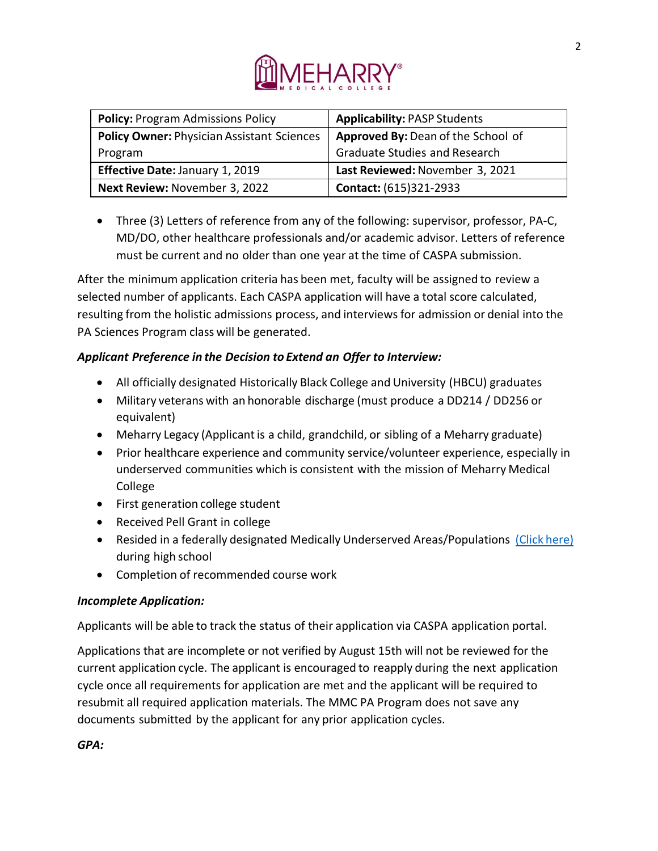

| <b>Policy: Program Admissions Policy</b>          | <b>Applicability: PASP Students</b>  |
|---------------------------------------------------|--------------------------------------|
| <b>Policy Owner: Physician Assistant Sciences</b> | Approved By: Dean of the School of   |
| Program                                           | <b>Graduate Studies and Research</b> |
| Effective Date: January 1, 2019                   | Last Reviewed: November 3, 2021      |
| Next Review: November 3, 2022                     | <b>Contact: (615)321-2933</b>        |

• Three (3) Letters of reference from any of the following: supervisor, professor, PA-C, MD/DO, other healthcare professionals and/or academic advisor. Letters of reference must be current and no older than one year at the time of CASPA submission.

After the minimum application criteria has been met, faculty will be assigned to review a selected number of applicants. Each CASPA application will have a total score calculated, resulting from the holistic admissions process, and interviews for admission or denial into the PA Sciences Program class will be generated.

# *Applicant Preference in the Decision to Extend an Offer to Interview:*

- All officially designated Historically Black College and University (HBCU) graduates
- Military veterans with an honorable discharge (must produce a DD214 / DD256 or equivalent)
- Meharry Legacy (Applicant is a child, grandchild, or sibling of a Meharry graduate)
- Prior healthcare experience and community service/volunteer experience, especially in underserved communities which is consistent with the mission of Meharry Medical College
- First generation college student
- Received Pell Grant in college
- Resided in a federally designated Medically Underserved Areas/Populations [\(Click](https://data.hrsa.gov/) here) during high school
- Completion of recommended course work

# *Incomplete Application:*

Applicants will be able to track the status of their application via CASPA application portal.

Applications that are incomplete or not verified by August 15th will not be reviewed for the current application cycle. The applicant is encouraged to reapply during the next application cycle once all requirements for application are met and the applicant will be required to resubmit all required application materials. The MMC PA Program does not save any documents submitted by the applicant for any prior application cycles.

*GPA:*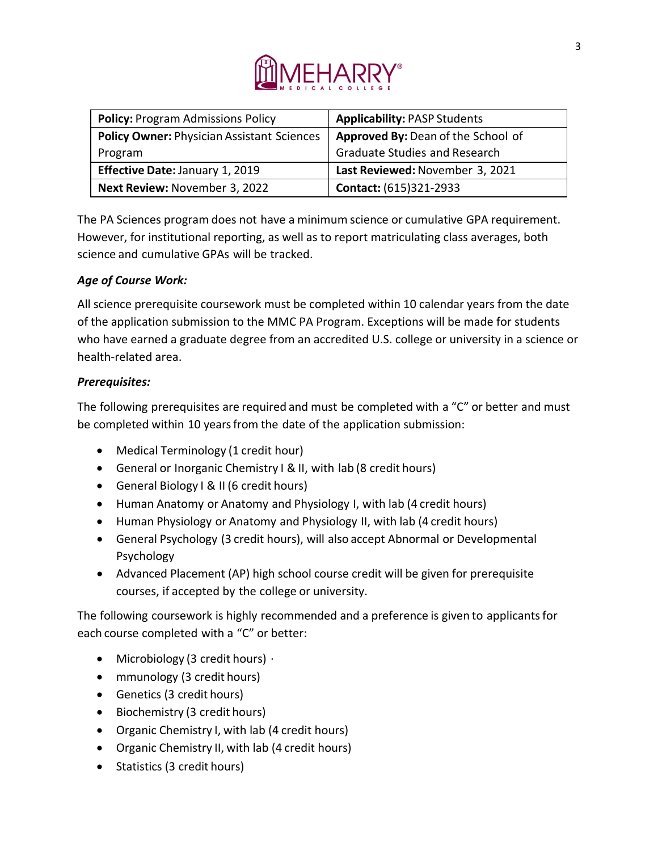

| <b>Policy: Program Admissions Policy</b>          | <b>Applicability: PASP Students</b>  |
|---------------------------------------------------|--------------------------------------|
| <b>Policy Owner: Physician Assistant Sciences</b> | Approved By: Dean of the School of   |
| Program                                           | <b>Graduate Studies and Research</b> |
| Effective Date: January 1, 2019                   | Last Reviewed: November 3, 2021      |
| Next Review: November 3, 2022                     | Contact: (615)321-2933               |

The PA Sciences program does not have a minimum science or cumulative GPA requirement. However, for institutional reporting, as well as to report matriculating class averages, both science and cumulative GPAs will be tracked.

## *Age of Course Work:*

All science prerequisite coursework must be completed within 10 calendar years from the date of the application submission to the MMC PA Program. Exceptions will be made for students who have earned a graduate degree from an accredited U.S. college or university in a science or health-related area.

### *Prerequisites:*

The following prerequisites are required and must be completed with a "C" or better and must be completed within 10 years from the date of the application submission:

- Medical Terminology (1 credit hour)
- General or Inorganic Chemistry I & II, with lab (8 credit hours)
- General Biology I & II (6 credit hours)
- Human Anatomy or Anatomy and Physiology I, with lab (4 credit hours)
- Human Physiology or Anatomy and Physiology II, with lab (4 credit hours)
- General Psychology (3 credit hours), will also accept Abnormal or Developmental Psychology
- Advanced Placement (AP) high school course credit will be given for prerequisite courses, if accepted by the college or university.

The following coursework is highly recommended and a preference is given to applicants for each course completed with a "C" or better:

- Microbiology (3 credit hours)  $\cdot$
- mmunology (3 credit hours)
- Genetics (3 credit hours)
- Biochemistry (3 credit hours)
- Organic Chemistry I, with lab (4 credit hours)
- Organic Chemistry II, with lab (4 credit hours)
- Statistics (3 credit hours)